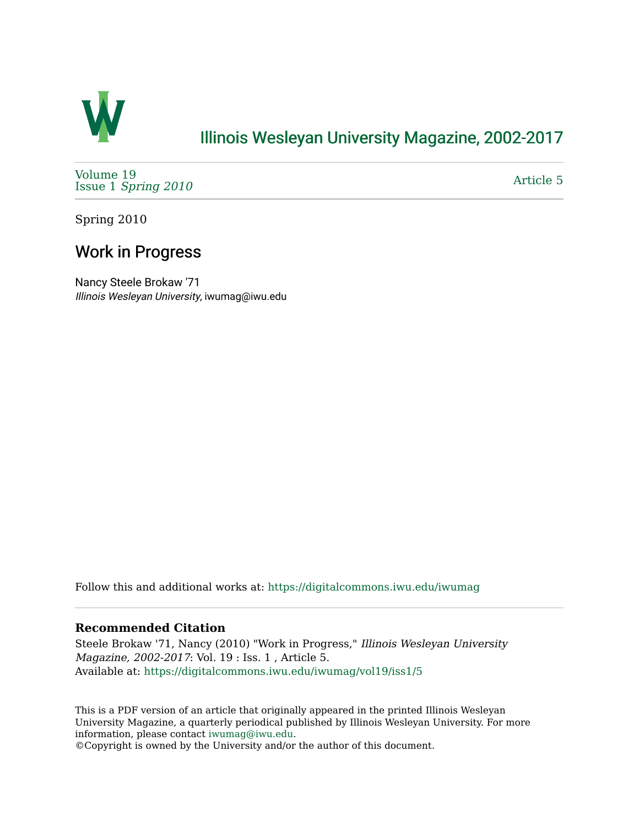

## [Illinois Wesleyan University Magazine, 2002-2017](https://digitalcommons.iwu.edu/iwumag)

[Volume 19](https://digitalcommons.iwu.edu/iwumag/vol19)  Issue 1 [Spring 2010](https://digitalcommons.iwu.edu/iwumag/vol19/iss1)

[Article 5](https://digitalcommons.iwu.edu/iwumag/vol19/iss1/5) 

Spring 2010

## Work in Progress

Nancy Steele Brokaw '71 Illinois Wesleyan University, iwumag@iwu.edu

Follow this and additional works at: [https://digitalcommons.iwu.edu/iwumag](https://digitalcommons.iwu.edu/iwumag?utm_source=digitalcommons.iwu.edu%2Fiwumag%2Fvol19%2Fiss1%2F5&utm_medium=PDF&utm_campaign=PDFCoverPages) 

#### **Recommended Citation**

Steele Brokaw '71, Nancy (2010) "Work in Progress," Illinois Wesleyan University Magazine, 2002-2017: Vol. 19 : Iss. 1 , Article 5. Available at: [https://digitalcommons.iwu.edu/iwumag/vol19/iss1/5](https://digitalcommons.iwu.edu/iwumag/vol19/iss1/5?utm_source=digitalcommons.iwu.edu%2Fiwumag%2Fvol19%2Fiss1%2F5&utm_medium=PDF&utm_campaign=PDFCoverPages)

This is a PDF version of an article that originally appeared in the printed Illinois Wesleyan University Magazine, a quarterly periodical published by Illinois Wesleyan University. For more information, please contact [iwumag@iwu.edu](mailto:iwumag@iwu.edu).

©Copyright is owned by the University and/or the author of this document.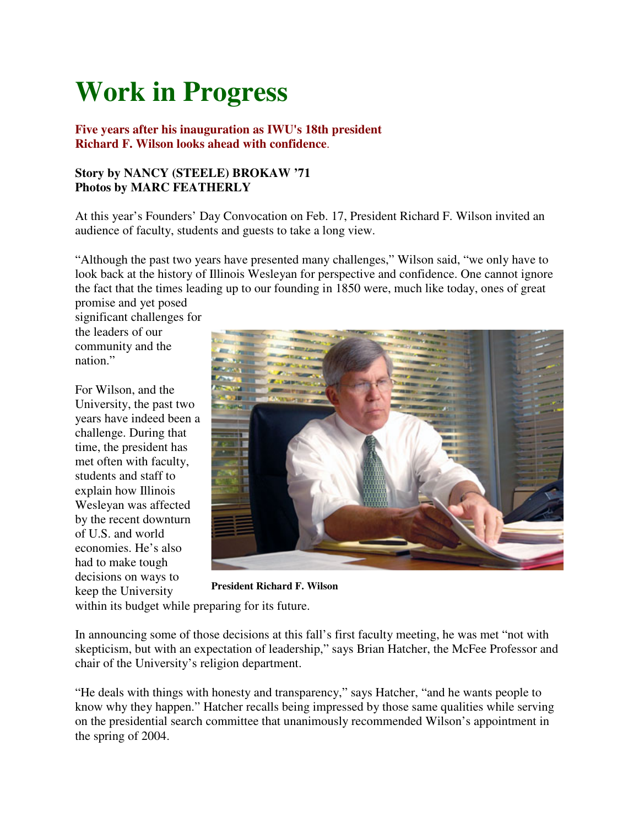# **Work in Progress**

### **Five years after his inauguration as IWU's 18th president Richard F. Wilson looks ahead with confidence**.

### **Story by NANCY (STEELE) BROKAW '71 Photos by MARC FEATHERLY**

At this year's Founders' Day Convocation on Feb. 17, President Richard F. Wilson invited an audience of faculty, students and guests to take a long view.

"Although the past two years have presented many challenges," Wilson said, "we only have to look back at the history of Illinois Wesleyan for perspective and confidence. One cannot ignore the fact that the times leading up to our founding in 1850 were, much like today, ones of great promise and yet posed

significant challenges for the leaders of our community and the nation."

For Wilson, and the University, the past two years have indeed been a challenge. During that time, the president has met often with faculty, students and staff to explain how Illinois Wesleyan was affected by the recent downturn of U.S. and world economies. He's also had to make tough decisions on ways to keep the University



**President Richard F. Wilson**

within its budget while preparing for its future.

In announcing some of those decisions at this fall's first faculty meeting, he was met "not with skepticism, but with an expectation of leadership," says Brian Hatcher, the McFee Professor and chair of the University's religion department.

"He deals with things with honesty and transparency," says Hatcher, "and he wants people to know why they happen." Hatcher recalls being impressed by those same qualities while serving on the presidential search committee that unanimously recommended Wilson's appointment in the spring of 2004.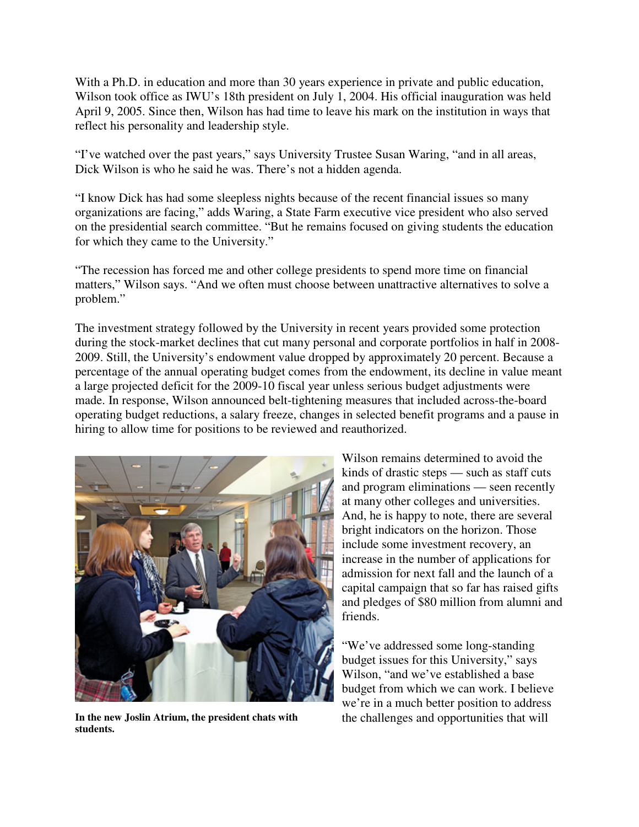With a Ph.D. in education and more than 30 years experience in private and public education, Wilson took office as IWU's 18th president on July 1, 2004. His official inauguration was held April 9, 2005. Since then, Wilson has had time to leave his mark on the institution in ways that reflect his personality and leadership style.

"I've watched over the past years," says University Trustee Susan Waring, "and in all areas, Dick Wilson is who he said he was. There's not a hidden agenda.

"I know Dick has had some sleepless nights because of the recent financial issues so many organizations are facing," adds Waring, a State Farm executive vice president who also served on the presidential search committee. "But he remains focused on giving students the education for which they came to the University."

"The recession has forced me and other college presidents to spend more time on financial matters," Wilson says. "And we often must choose between unattractive alternatives to solve a problem."

The investment strategy followed by the University in recent years provided some protection during the stock-market declines that cut many personal and corporate portfolios in half in 2008- 2009. Still, the University's endowment value dropped by approximately 20 percent. Because a percentage of the annual operating budget comes from the endowment, its decline in value meant a large projected deficit for the 2009-10 fiscal year unless serious budget adjustments were made. In response, Wilson announced belt-tightening measures that included across-the-board operating budget reductions, a salary freeze, changes in selected benefit programs and a pause in hiring to allow time for positions to be reviewed and reauthorized.



In the new Joslin Atrium, the president chats with the challenges and opportunities that will **students.**

Wilson remains determined to avoid the kinds of drastic steps — such as staff cuts and program eliminations — seen recently at many other colleges and universities. And, he is happy to note, there are several bright indicators on the horizon. Those include some investment recovery, an increase in the number of applications for admission for next fall and the launch of a capital campaign that so far has raised gifts and pledges of \$80 million from alumni and friends.

"We've addressed some long-standing budget issues for this University," says Wilson, "and we've established a base budget from which we can work. I believe we're in a much better position to address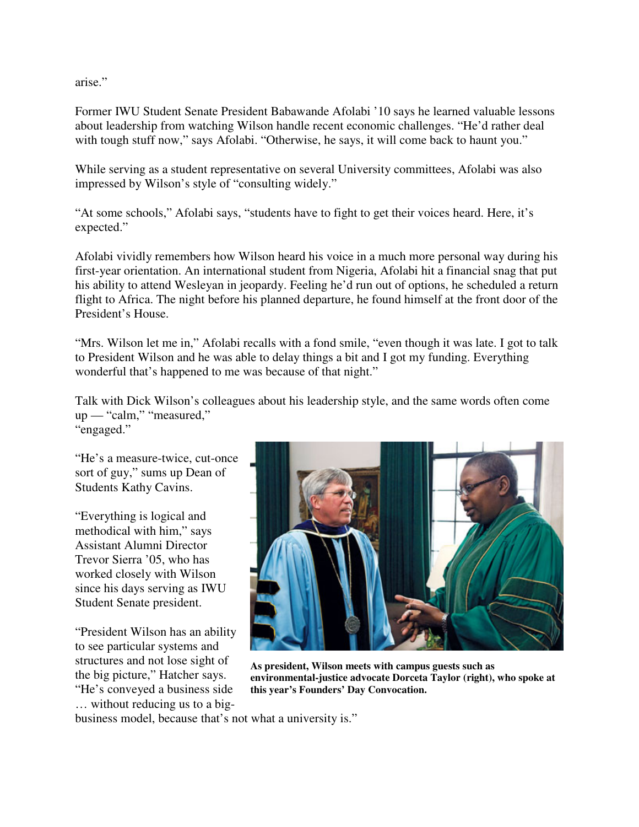arise."

Former IWU Student Senate President Babawande Afolabi '10 says he learned valuable lessons about leadership from watching Wilson handle recent economic challenges. "He'd rather deal with tough stuff now," says Afolabi. "Otherwise, he says, it will come back to haunt you."

While serving as a student representative on several University committees, Afolabi was also impressed by Wilson's style of "consulting widely."

"At some schools," Afolabi says, "students have to fight to get their voices heard. Here, it's expected."

Afolabi vividly remembers how Wilson heard his voice in a much more personal way during his first-year orientation. An international student from Nigeria, Afolabi hit a financial snag that put his ability to attend Wesleyan in jeopardy. Feeling he'd run out of options, he scheduled a return flight to Africa. The night before his planned departure, he found himself at the front door of the President's House.

"Mrs. Wilson let me in," Afolabi recalls with a fond smile, "even though it was late. I got to talk to President Wilson and he was able to delay things a bit and I got my funding. Everything wonderful that's happened to me was because of that night."

Talk with Dick Wilson's colleagues about his leadership style, and the same words often come up — "calm," "measured," "engaged."

"He's a measure-twice, cut-once sort of guy," sums up Dean of Students Kathy Cavins.

"Everything is logical and methodical with him," says Assistant Alumni Director Trevor Sierra '05, who has worked closely with Wilson since his days serving as IWU Student Senate president.

"President Wilson has an ability to see particular systems and structures and not lose sight of the big picture," Hatcher says. "He's conveyed a business side … without reducing us to a big-



**As president, Wilson meets with campus guests such as environmental-justice advocate Dorceta Taylor (right), who spoke at this year's Founders' Day Convocation.**

business model, because that's not what a university is."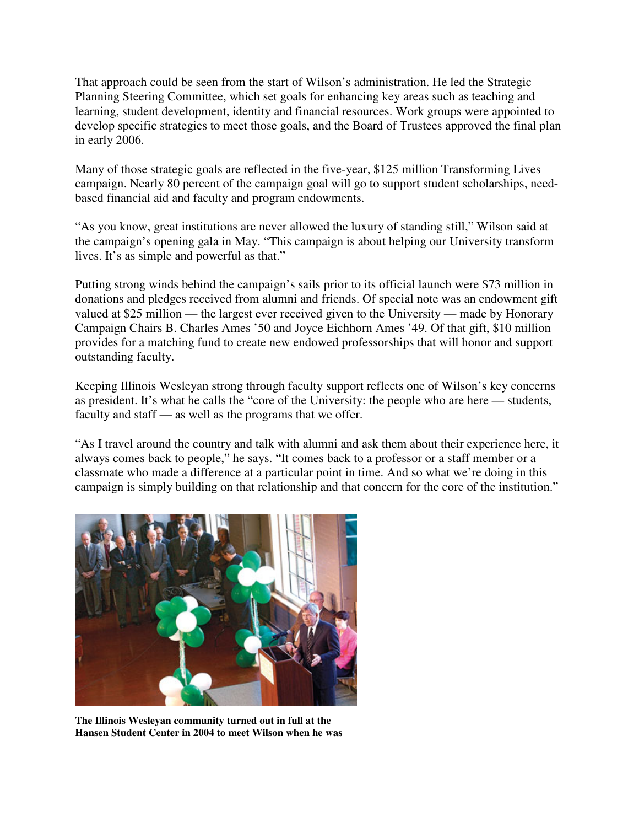That approach could be seen from the start of Wilson's administration. He led the Strategic Planning Steering Committee, which set goals for enhancing key areas such as teaching and learning, student development, identity and financial resources. Work groups were appointed to develop specific strategies to meet those goals, and the Board of Trustees approved the final plan in early 2006.

Many of those strategic goals are reflected in the five-year, \$125 million Transforming Lives campaign. Nearly 80 percent of the campaign goal will go to support student scholarships, needbased financial aid and faculty and program endowments.

"As you know, great institutions are never allowed the luxury of standing still," Wilson said at the campaign's opening gala in May. "This campaign is about helping our University transform lives. It's as simple and powerful as that."

Putting strong winds behind the campaign's sails prior to its official launch were \$73 million in donations and pledges received from alumni and friends. Of special note was an endowment gift valued at \$25 million — the largest ever received given to the University — made by Honorary Campaign Chairs B. Charles Ames '50 and Joyce Eichhorn Ames '49. Of that gift, \$10 million provides for a matching fund to create new endowed professorships that will honor and support outstanding faculty.

Keeping Illinois Wesleyan strong through faculty support reflects one of Wilson's key concerns as president. It's what he calls the "core of the University: the people who are here — students, faculty and staff — as well as the programs that we offer.

"As I travel around the country and talk with alumni and ask them about their experience here, it always comes back to people," he says. "It comes back to a professor or a staff member or a classmate who made a difference at a particular point in time. And so what we're doing in this campaign is simply building on that relationship and that concern for the core of the institution."



**The Illinois Wesleyan community turned out in full at the Hansen Student Center in 2004 to meet Wilson when he was**